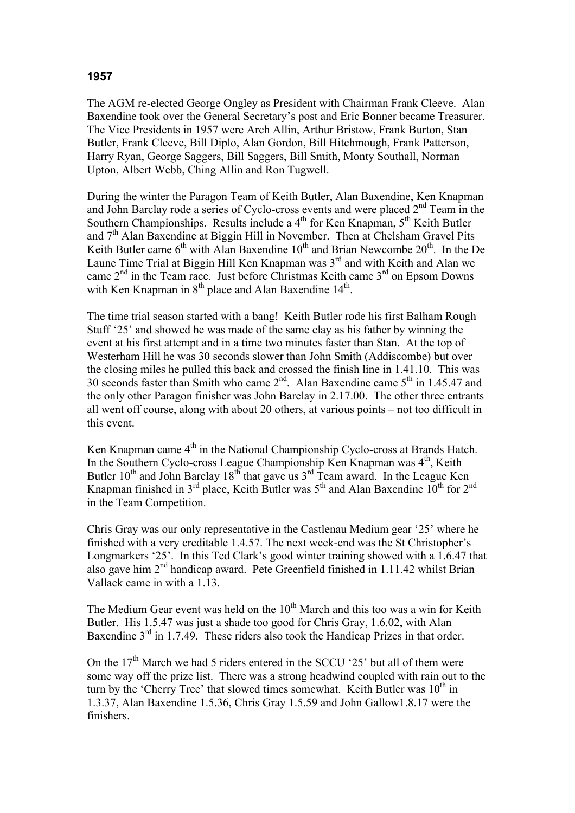## **1957**

The AGM re-elected George Ongley as President with Chairman Frank Cleeve. Alan Baxendine took over the General Secretary's post and Eric Bonner became Treasurer. The Vice Presidents in 1957 were Arch Allin, Arthur Bristow, Frank Burton, Stan Butler, Frank Cleeve, Bill Diplo, Alan Gordon, Bill Hitchmough, Frank Patterson, Harry Ryan, George Saggers, Bill Saggers, Bill Smith, Monty Southall, Norman Upton, Albert Webb, Ching Allin and Ron Tugwell.

During the winter the Paragon Team of Keith Butler, Alan Baxendine, Ken Knapman and John Barclay rode a series of Cyclo-cross events and were placed 2nd Team in the Southern Championships. Results include a  $4<sup>th</sup>$  for Ken Knapman,  $5<sup>th</sup>$  Keith Butler and 7<sup>th</sup> Alan Baxendine at Biggin Hill in November. Then at Chelsham Gravel Pits Keith Butler came  $6<sup>th</sup>$  with Alan Baxendine 10<sup>th</sup> and Brian Newcombe 20<sup>th</sup>. In the De Laune Time Trial at Biggin Hill Ken Knapman was  $3<sup>rd</sup>$  and with Keith and Alan we came  $2<sup>nd</sup>$  in the Team race. Just before Christmas Keith came  $3<sup>rd</sup>$  on Epsom Downs with Ken Knapman in  $8<sup>th</sup>$  place and Alan Baxendine 14<sup>th</sup>.

The time trial season started with a bang! Keith Butler rode his first Balham Rough Stuff '25' and showed he was made of the same clay as his father by winning the event at his first attempt and in a time two minutes faster than Stan. At the top of Westerham Hill he was 30 seconds slower than John Smith (Addiscombe) but over the closing miles he pulled this back and crossed the finish line in 1.41.10. This was 30 seconds faster than Smith who came  $2<sup>nd</sup>$ . Alan Baxendine came  $5<sup>th</sup>$  in 1.45.47 and the only other Paragon finisher was John Barclay in 2.17.00. The other three entrants all went off course, along with about 20 others, at various points – not too difficult in this event.

Ken Knapman came  $4<sup>th</sup>$  in the National Championship Cyclo-cross at Brands Hatch. In the Southern Cyclo-cross League Championship Ken Knapman was  $4<sup>th</sup>$ , Keith Butler 10<sup>th</sup> and John Barclay 18<sup>th</sup> that gave us 3<sup>rd</sup> Team award. In the League Ken Knapman finished in 3<sup>rd</sup> place, Keith Butler was 5<sup>th</sup> and Alan Baxendine 10<sup>th</sup> for 2<sup>nd</sup> in the Team Competition.

Chris Gray was our only representative in the Castlenau Medium gear '25' where he finished with a very creditable 1.4.57. The next week-end was the St Christopher's Longmarkers '25'. In this Ted Clark's good winter training showed with a 1.6.47 that also gave him 2<sup>nd</sup> handicap award. Pete Greenfield finished in 1.11.42 whilst Brian Vallack came in with a 1.13.

The Medium Gear event was held on the  $10<sup>th</sup>$  March and this too was a win for Keith Butler. His 1.5.47 was just a shade too good for Chris Gray, 1.6.02, with Alan Baxendine 3<sup>rd</sup> in 1.7.49. These riders also took the Handicap Prizes in that order.

On the  $17<sup>th</sup>$  March we had 5 riders entered in the SCCU '25' but all of them were some way off the prize list. There was a strong headwind coupled with rain out to the turn by the 'Cherry Tree' that slowed times somewhat. Keith Butler was  $10<sup>th</sup>$  in 1.3.37, Alan Baxendine 1.5.36, Chris Gray 1.5.59 and John Gallow1.8.17 were the finishers.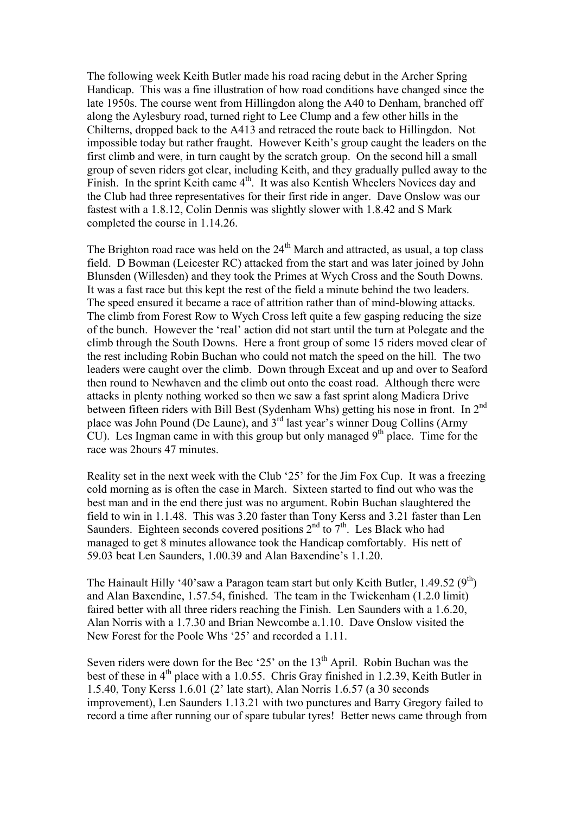The following week Keith Butler made his road racing debut in the Archer Spring Handicap. This was a fine illustration of how road conditions have changed since the late 1950s. The course went from Hillingdon along the A40 to Denham, branched off along the Aylesbury road, turned right to Lee Clump and a few other hills in the Chilterns, dropped back to the A413 and retraced the route back to Hillingdon. Not impossible today but rather fraught. However Keith's group caught the leaders on the first climb and were, in turn caught by the scratch group. On the second hill a small group of seven riders got clear, including Keith, and they gradually pulled away to the Finish. In the sprint Keith came  $4<sup>th</sup>$ . It was also Kentish Wheelers Novices day and the Club had three representatives for their first ride in anger. Dave Onslow was our fastest with a 1.8.12, Colin Dennis was slightly slower with 1.8.42 and S Mark completed the course in 1.14.26.

The Brighton road race was held on the  $24<sup>th</sup>$  March and attracted, as usual, a top class field. D Bowman (Leicester RC) attacked from the start and was later joined by John Blunsden (Willesden) and they took the Primes at Wych Cross and the South Downs. It was a fast race but this kept the rest of the field a minute behind the two leaders. The speed ensured it became a race of attrition rather than of mind-blowing attacks. The climb from Forest Row to Wych Cross left quite a few gasping reducing the size of the bunch. However the 'real' action did not start until the turn at Polegate and the climb through the South Downs. Here a front group of some 15 riders moved clear of the rest including Robin Buchan who could not match the speed on the hill. The two leaders were caught over the climb. Down through Exceat and up and over to Seaford then round to Newhaven and the climb out onto the coast road. Although there were attacks in plenty nothing worked so then we saw a fast sprint along Madiera Drive between fifteen riders with Bill Best (Sydenham Whs) getting his nose in front. In 2<sup>nd</sup> place was John Pound (De Laune), and 3rd last year's winner Doug Collins (Army CU). Les Ingman came in with this group but only managed  $9<sup>th</sup>$  place. Time for the race was 2hours 47 minutes.

Reality set in the next week with the Club '25' for the Jim Fox Cup. It was a freezing cold morning as is often the case in March. Sixteen started to find out who was the best man and in the end there just was no argument. Robin Buchan slaughtered the field to win in 1.1.48. This was 3.20 faster than Tony Kerss and 3.21 faster than Len Saunders. Eighteen seconds covered positions  $2<sup>nd</sup>$  to  $7<sup>th</sup>$ . Les Black who had managed to get 8 minutes allowance took the Handicap comfortably. His nett of 59.03 beat Len Saunders, 1.00.39 and Alan Baxendine's 1.1.20.

The Hainault Hilly '40'saw a Paragon team start but only Keith Butler, 1.49.52  $(9<sup>th</sup>)$ and Alan Baxendine, 1.57.54, finished. The team in the Twickenham (1.2.0 limit) faired better with all three riders reaching the Finish. Len Saunders with a 1.6.20, Alan Norris with a 1.7.30 and Brian Newcombe a.1.10. Dave Onslow visited the New Forest for the Poole Whs '25' and recorded a 1.11.

Seven riders were down for the Bec '25' on the  $13<sup>th</sup>$  April. Robin Buchan was the best of these in 4<sup>th</sup> place with a 1.0.55. Chris Gray finished in 1.2.39, Keith Butler in 1.5.40, Tony Kerss 1.6.01 (2' late start), Alan Norris 1.6.57 (a 30 seconds improvement), Len Saunders 1.13.21 with two punctures and Barry Gregory failed to record a time after running our of spare tubular tyres! Better news came through from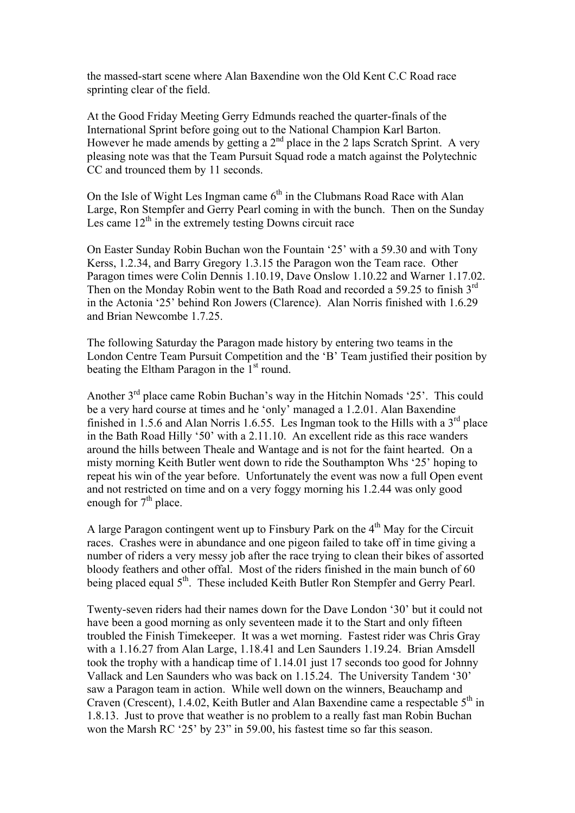the massed-start scene where Alan Baxendine won the Old Kent C.C Road race sprinting clear of the field.

At the Good Friday Meeting Gerry Edmunds reached the quarter-finals of the International Sprint before going out to the National Champion Karl Barton. However he made amends by getting a  $2<sup>nd</sup>$  place in the 2 laps Scratch Sprint. A very pleasing note was that the Team Pursuit Squad rode a match against the Polytechnic CC and trounced them by 11 seconds.

On the Isle of Wight Les Ingman came  $6<sup>th</sup>$  in the Clubmans Road Race with Alan Large, Ron Stempfer and Gerry Pearl coming in with the bunch. Then on the Sunday Les came  $12<sup>th</sup>$  in the extremely testing Downs circuit race

On Easter Sunday Robin Buchan won the Fountain '25' with a 59.30 and with Tony Kerss, 1.2.34, and Barry Gregory 1.3.15 the Paragon won the Team race. Other Paragon times were Colin Dennis 1.10.19, Dave Onslow 1.10.22 and Warner 1.17.02. Then on the Monday Robin went to the Bath Road and recorded a 59.25 to finish 3<sup>rd</sup> in the Actonia '25' behind Ron Jowers (Clarence). Alan Norris finished with 1.6.29 and Brian Newcombe 1.7.25.

The following Saturday the Paragon made history by entering two teams in the London Centre Team Pursuit Competition and the 'B' Team justified their position by beating the Eltham Paragon in the  $1<sup>st</sup>$  round.

Another 3rd place came Robin Buchan's way in the Hitchin Nomads '25'. This could be a very hard course at times and he 'only' managed a 1.2.01. Alan Baxendine finished in 1.5.6 and Alan Norris 1.6.55. Les Ingman took to the Hills with a  $3<sup>rd</sup>$  place in the Bath Road Hilly '50' with a 2.11.10. An excellent ride as this race wanders around the hills between Theale and Wantage and is not for the faint hearted. On a misty morning Keith Butler went down to ride the Southampton Whs '25' hoping to repeat his win of the year before. Unfortunately the event was now a full Open event and not restricted on time and on a very foggy morning his 1.2.44 was only good enough for  $7<sup>th</sup>$  place.

A large Paragon contingent went up to Finsbury Park on the  $4<sup>th</sup>$  May for the Circuit races. Crashes were in abundance and one pigeon failed to take off in time giving a number of riders a very messy job after the race trying to clean their bikes of assorted bloody feathers and other offal. Most of the riders finished in the main bunch of 60 being placed equal 5<sup>th</sup>. These included Keith Butler Ron Stempfer and Gerry Pearl.

Twenty-seven riders had their names down for the Dave London '30' but it could not have been a good morning as only seventeen made it to the Start and only fifteen troubled the Finish Timekeeper. It was a wet morning. Fastest rider was Chris Gray with a 1.16.27 from Alan Large, 1.18.41 and Len Saunders 1.19.24. Brian Amsdell took the trophy with a handicap time of 1.14.01 just 17 seconds too good for Johnny Vallack and Len Saunders who was back on 1.15.24. The University Tandem '30' saw a Paragon team in action. While well down on the winners, Beauchamp and Craven (Crescent), 1.4.02, Keith Butler and Alan Baxendine came a respectable 5<sup>th</sup> in 1.8.13. Just to prove that weather is no problem to a really fast man Robin Buchan won the Marsh RC '25' by 23" in 59.00, his fastest time so far this season.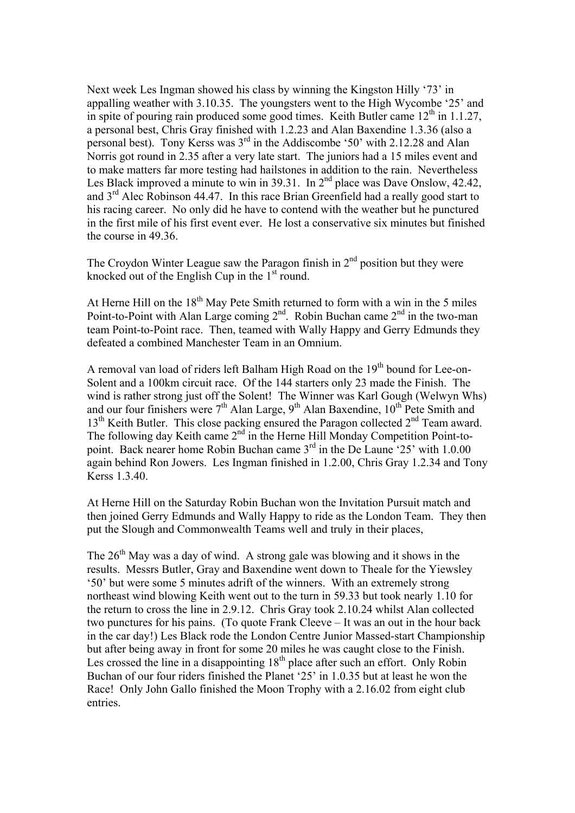Next week Les Ingman showed his class by winning the Kingston Hilly '73' in appalling weather with 3.10.35. The youngsters went to the High Wycombe '25' and in spite of pouring rain produced some good times. Keith Butler came  $12<sup>th</sup>$  in 1.1.27, a personal best, Chris Gray finished with 1.2.23 and Alan Baxendine 1.3.36 (also a personal best). Tony Kerss was  $3<sup>rd</sup>$  in the Addiscombe '50' with 2.12.28 and Alan Norris got round in 2.35 after a very late start. The juniors had a 15 miles event and to make matters far more testing had hailstones in addition to the rain. Nevertheless Les Black improved a minute to win in  $39.31$ . In  $2<sup>nd</sup>$  place was Dave Onslow, 42.42, and  $3<sup>rd</sup>$  Alec Robinson 44.47. In this race Brian Greenfield had a really good start to his racing career. No only did he have to contend with the weather but he punctured in the first mile of his first event ever. He lost a conservative six minutes but finished the course in 49.36.

The Croydon Winter League saw the Paragon finish in  $2<sup>nd</sup>$  position but they were knocked out of the English Cup in the  $1<sup>st</sup>$  round.

At Herne Hill on the  $18<sup>th</sup>$  May Pete Smith returned to form with a win in the 5 miles Point-to-Point with Alan Large coming  $2<sup>nd</sup>$ . Robin Buchan came  $2<sup>nd</sup>$  in the two-man team Point-to-Point race. Then, teamed with Wally Happy and Gerry Edmunds they defeated a combined Manchester Team in an Omnium.

A removal van load of riders left Balham High Road on the 19<sup>th</sup> bound for Lee-on-Solent and a 100km circuit race. Of the 144 starters only 23 made the Finish. The wind is rather strong just off the Solent! The Winner was Karl Gough (Welwyn Whs) and our four finishers were  $7<sup>th</sup>$  Alan Large,  $9<sup>th</sup>$  Alan Baxendine,  $10<sup>th</sup>$  Pete Smith and  $13<sup>th</sup>$  Keith Butler. This close packing ensured the Paragon collected  $2<sup>nd</sup>$  Team award. The following day Keith came 2<sup>nd</sup> in the Herne Hill Monday Competition Point-topoint. Back nearer home Robin Buchan came  $3<sup>rd</sup>$  in the De Laune '25' with 1.0.00 again behind Ron Jowers. Les Ingman finished in 1.2.00, Chris Gray 1.2.34 and Tony Kerss 1.3.40.

At Herne Hill on the Saturday Robin Buchan won the Invitation Pursuit match and then joined Gerry Edmunds and Wally Happy to ride as the London Team. They then put the Slough and Commonwealth Teams well and truly in their places,

The  $26<sup>th</sup>$  May was a day of wind. A strong gale was blowing and it shows in the results. Messrs Butler, Gray and Baxendine went down to Theale for the Yiewsley '50' but were some 5 minutes adrift of the winners. With an extremely strong northeast wind blowing Keith went out to the turn in 59.33 but took nearly 1.10 for the return to cross the line in 2.9.12. Chris Gray took 2.10.24 whilst Alan collected two punctures for his pains. (To quote Frank Cleeve – It was an out in the hour back in the car day!) Les Black rode the London Centre Junior Massed-start Championship but after being away in front for some 20 miles he was caught close to the Finish. Les crossed the line in a disappointing  $18<sup>th</sup>$  place after such an effort. Only Robin Buchan of our four riders finished the Planet '25' in 1.0.35 but at least he won the Race! Only John Gallo finished the Moon Trophy with a 2.16.02 from eight club entries.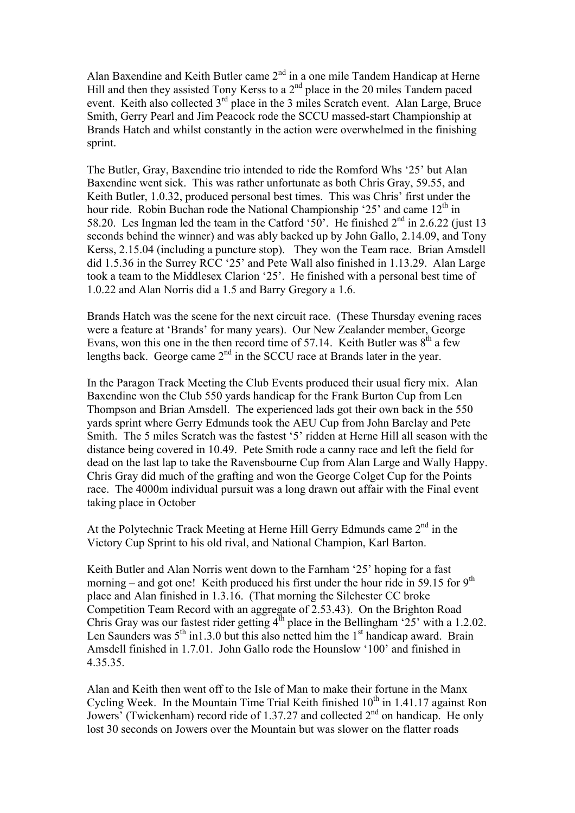Alan Baxendine and Keith Butler came  $2^{nd}$  in a one mile Tandem Handicap at Herne Hill and then they assisted Tony Kerss to a  $2<sup>nd</sup>$  place in the 20 miles Tandem paced event. Keith also collected  $3<sup>rd</sup>$  place in the 3 miles Scratch event. Alan Large, Bruce Smith, Gerry Pearl and Jim Peacock rode the SCCU massed-start Championship at Brands Hatch and whilst constantly in the action were overwhelmed in the finishing sprint.

The Butler, Gray, Baxendine trio intended to ride the Romford Whs '25' but Alan Baxendine went sick. This was rather unfortunate as both Chris Gray, 59.55, and Keith Butler, 1.0.32, produced personal best times. This was Chris' first under the hour ride. Robin Buchan rode the National Championship '25' and came  $12<sup>th</sup>$  in 58.20. Les Ingman led the team in the Catford '50'. He finished  $2<sup>nd</sup>$  in 2.6.22 (just 13) seconds behind the winner) and was ably backed up by John Gallo, 2.14.09, and Tony Kerss, 2.15.04 (including a puncture stop). They won the Team race. Brian Amsdell did 1.5.36 in the Surrey RCC '25' and Pete Wall also finished in 1.13.29. Alan Large took a team to the Middlesex Clarion '25'. He finished with a personal best time of 1.0.22 and Alan Norris did a 1.5 and Barry Gregory a 1.6.

Brands Hatch was the scene for the next circuit race. (These Thursday evening races were a feature at 'Brands' for many years). Our New Zealander member, George Evans, won this one in the then record time of 57.14. Keith Butler was  $8<sup>th</sup>$  a few lengths back. George came  $2<sup>nd</sup>$  in the SCCU race at Brands later in the year.

In the Paragon Track Meeting the Club Events produced their usual fiery mix. Alan Baxendine won the Club 550 yards handicap for the Frank Burton Cup from Len Thompson and Brian Amsdell. The experienced lads got their own back in the 550 yards sprint where Gerry Edmunds took the AEU Cup from John Barclay and Pete Smith. The 5 miles Scratch was the fastest '5' ridden at Herne Hill all season with the distance being covered in 10.49. Pete Smith rode a canny race and left the field for dead on the last lap to take the Ravensbourne Cup from Alan Large and Wally Happy. Chris Gray did much of the grafting and won the George Colget Cup for the Points race. The 4000m individual pursuit was a long drawn out affair with the Final event taking place in October

At the Polytechnic Track Meeting at Herne Hill Gerry Edmunds came 2<sup>nd</sup> in the Victory Cup Sprint to his old rival, and National Champion, Karl Barton.

Keith Butler and Alan Norris went down to the Farnham '25' hoping for a fast morning – and got one! Keith produced his first under the hour ride in 59.15 for  $9<sup>th</sup>$ place and Alan finished in 1.3.16. (That morning the Silchester CC broke Competition Team Record with an aggregate of 2.53.43). On the Brighton Road Chris Gray was our fastest rider getting  $4<sup>th</sup>$  place in the Bellingham '25' with a 1.2.02. Len Saunders was  $5<sup>th</sup>$  in1.3.0 but this also netted him the  $1<sup>st</sup>$  handicap award. Brain Amsdell finished in 1.7.01. John Gallo rode the Hounslow '100' and finished in 4.35.35.

Alan and Keith then went off to the Isle of Man to make their fortune in the Manx Cycling Week. In the Mountain Time Trial Keith finished  $10<sup>th</sup>$  in 1.41.17 against Ron Jowers' (Twickenham) record ride of 1.37.27 and collected  $2<sup>nd</sup>$  on handicap. He only lost 30 seconds on Jowers over the Mountain but was slower on the flatter roads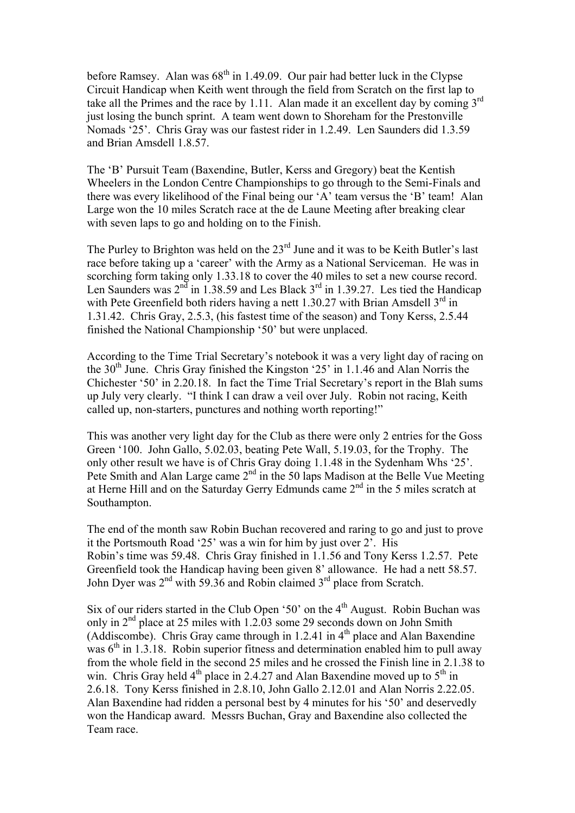before Ramsey. Alan was  $68<sup>th</sup>$  in 1.49.09. Our pair had better luck in the Clypse Circuit Handicap when Keith went through the field from Scratch on the first lap to take all the Primes and the race by 1.11. Alan made it an excellent day by coming 3<sup>rd</sup> just losing the bunch sprint. A team went down to Shoreham for the Prestonville Nomads '25'. Chris Gray was our fastest rider in 1.2.49. Len Saunders did 1.3.59 and Brian Amsdell 1.8.57.

The 'B' Pursuit Team (Baxendine, Butler, Kerss and Gregory) beat the Kentish Wheelers in the London Centre Championships to go through to the Semi-Finals and there was every likelihood of the Final being our 'A' team versus the 'B' team! Alan Large won the 10 miles Scratch race at the de Laune Meeting after breaking clear with seven laps to go and holding on to the Finish.

The Purley to Brighton was held on the  $23<sup>rd</sup>$  June and it was to be Keith Butler's last race before taking up a 'career' with the Army as a National Serviceman. He was in scorching form taking only 1.33.18 to cover the 40 miles to set a new course record. Len Saunders was 2<sup>nd</sup> in 1.38.59 and Les Black 3<sup>rd</sup> in 1.39.27. Les tied the Handicap with Pete Greenfield both riders having a nett 1.30.27 with Brian Amsdell  $3<sup>rd</sup>$  in 1.31.42. Chris Gray, 2.5.3, (his fastest time of the season) and Tony Kerss, 2.5.44 finished the National Championship '50' but were unplaced.

According to the Time Trial Secretary's notebook it was a very light day of racing on the 30<sup>th</sup> June. Chris Gray finished the Kingston '25' in 1.1.46 and Alan Norris the Chichester '50' in 2.20.18. In fact the Time Trial Secretary's report in the Blah sums up July very clearly. "I think I can draw a veil over July. Robin not racing, Keith called up, non-starters, punctures and nothing worth reporting!"

This was another very light day for the Club as there were only 2 entries for the Goss Green '100. John Gallo, 5.02.03, beating Pete Wall, 5.19.03, for the Trophy. The only other result we have is of Chris Gray doing 1.1.48 in the Sydenham Whs '25'. Pete Smith and Alan Large came 2<sup>nd</sup> in the 50 laps Madison at the Belle Vue Meeting at Herne Hill and on the Saturday Gerry Edmunds came 2nd in the 5 miles scratch at Southampton.

The end of the month saw Robin Buchan recovered and raring to go and just to prove it the Portsmouth Road '25' was a win for him by just over 2'. His Robin's time was 59.48. Chris Gray finished in 1.1.56 and Tony Kerss 1.2.57. Pete Greenfield took the Handicap having been given 8' allowance. He had a nett 58.57. John Dyer was  $2<sup>nd</sup>$  with 59.36 and Robin claimed  $3<sup>rd</sup>$  place from Scratch.

Six of our riders started in the Club Open '50' on the  $4<sup>th</sup>$  August. Robin Buchan was only in 2<sup>nd</sup> place at 25 miles with 1.2.03 some 29 seconds down on John Smith (Addiscombe). Chris Gray came through in 1.2.41 in  $4<sup>th</sup>$  place and Alan Baxendine was  $6<sup>th</sup>$  in 1.3.18. Robin superior fitness and determination enabled him to pull away from the whole field in the second 25 miles and he crossed the Finish line in 2.1.38 to win. Chris Gray held  $4<sup>th</sup>$  place in 2.4.27 and Alan Baxendine moved up to  $5<sup>th</sup>$  in 2.6.18. Tony Kerss finished in 2.8.10, John Gallo 2.12.01 and Alan Norris 2.22.05. Alan Baxendine had ridden a personal best by 4 minutes for his '50' and deservedly won the Handicap award. Messrs Buchan, Gray and Baxendine also collected the Team race.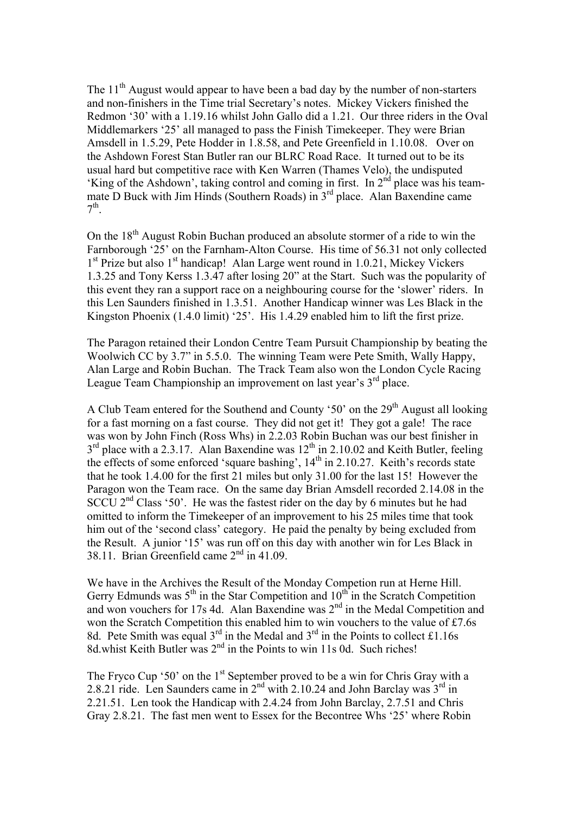The  $11<sup>th</sup>$  August would appear to have been a bad day by the number of non-starters and non-finishers in the Time trial Secretary's notes. Mickey Vickers finished the Redmon '30' with a 1.19.16 whilst John Gallo did a 1.21. Our three riders in the Oval Middlemarkers '25' all managed to pass the Finish Timekeeper. They were Brian Amsdell in 1.5.29, Pete Hodder in 1.8.58, and Pete Greenfield in 1.10.08. Over on the Ashdown Forest Stan Butler ran our BLRC Road Race. It turned out to be its usual hard but competitive race with Ken Warren (Thames Velo), the undisputed 'King of the Ashdown', taking control and coming in first. In 2nd place was his teammate D Buck with Jim Hinds (Southern Roads) in 3<sup>rd</sup> place. Alan Baxendine came  $7<sup>th</sup>$ .

On the 18<sup>th</sup> August Robin Buchan produced an absolute stormer of a ride to win the Farnborough '25' on the Farnham-Alton Course. His time of 56.31 not only collected  $1<sup>st</sup>$  Prize but also  $1<sup>st</sup>$  handicap! Alan Large went round in 1.0.21, Mickey Vickers 1.3.25 and Tony Kerss 1.3.47 after losing 20" at the Start. Such was the popularity of this event they ran a support race on a neighbouring course for the 'slower' riders. In this Len Saunders finished in 1.3.51. Another Handicap winner was Les Black in the Kingston Phoenix (1.4.0 limit) '25'. His 1.4.29 enabled him to lift the first prize.

The Paragon retained their London Centre Team Pursuit Championship by beating the Woolwich CC by 3.7" in 5.5.0. The winning Team were Pete Smith, Wally Happy, Alan Large and Robin Buchan. The Track Team also won the London Cycle Racing League Team Championship an improvement on last year's 3<sup>rd</sup> place.

A Club Team entered for the Southend and County '50' on the 29<sup>th</sup> August all looking for a fast morning on a fast course. They did not get it! They got a gale! The race was won by John Finch (Ross Whs) in 2.2.03 Robin Buchan was our best finisher in  $3<sup>rd</sup>$  place with a 2.3.17. Alan Baxendine was  $12<sup>th</sup>$  in 2.10.02 and Keith Butler, feeling the effects of some enforced 'square bashing',  $14<sup>th</sup>$  in 2.10.27. Keith's records state that he took 1.4.00 for the first 21 miles but only 31.00 for the last 15! However the Paragon won the Team race. On the same day Brian Amsdell recorded 2.14.08 in the SCCU 2<sup>nd</sup> Class '50'. He was the fastest rider on the day by 6 minutes but he had omitted to inform the Timekeeper of an improvement to his 25 miles time that took him out of the 'second class' category. He paid the penalty by being excluded from the Result. A junior '15' was run off on this day with another win for Les Black in 38.11. Brian Greenfield came  $2<sup>nd</sup>$  in 41.09.

We have in the Archives the Result of the Monday Competion run at Herne Hill. Gerry Edmunds was  $5<sup>th</sup>$  in the Star Competition and  $10<sup>th</sup>$  in the Scratch Competition and won vouchers for 17s 4d. Alan Baxendine was  $2<sup>nd</sup>$  in the Medal Competition and won the Scratch Competition this enabled him to win vouchers to the value of £7.6s 8d. Pete Smith was equal  $3^{rd}$  in the Medal and  $3^{rd}$  in the Points to collect £1.16s 8d.whist Keith Butler was  $2<sup>nd</sup>$  in the Points to win 11s 0d. Such riches!

The Fryco Cup '50' on the 1<sup>st</sup> September proved to be a win for Chris Gray with a 2.8.21 ride. Len Saunders came in  $2<sup>nd</sup>$  with 2.10.24 and John Barclay was  $3<sup>rd</sup>$  in 2.21.51. Len took the Handicap with 2.4.24 from John Barclay, 2.7.51 and Chris Gray 2.8.21. The fast men went to Essex for the Becontree Whs '25' where Robin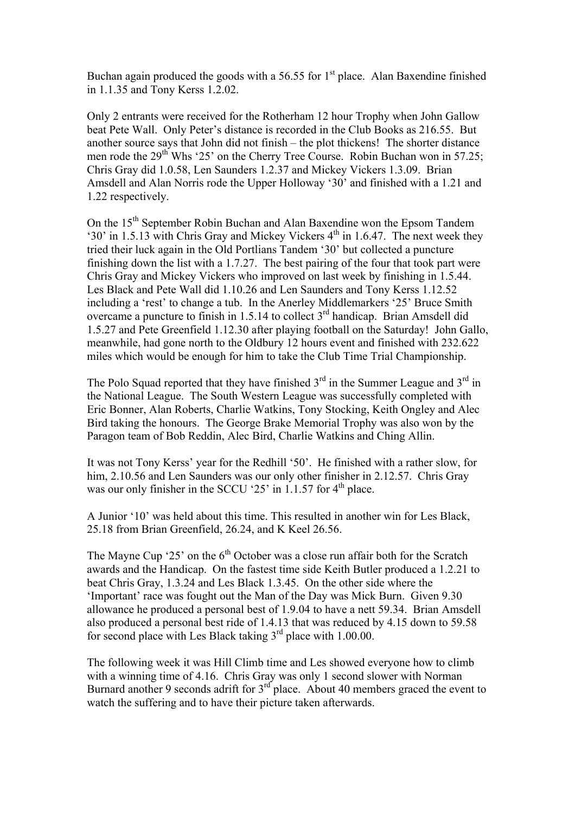Buchan again produced the goods with a 56.55 for  $1<sup>st</sup>$  place. Alan Baxendine finished in 1.1.35 and Tony Kerss 1.2.02.

Only 2 entrants were received for the Rotherham 12 hour Trophy when John Gallow beat Pete Wall. Only Peter's distance is recorded in the Club Books as 216.55. But another source says that John did not finish – the plot thickens! The shorter distance men rode the 29<sup>th</sup> Whs '25' on the Cherry Tree Course. Robin Buchan won in 57.25; Chris Gray did 1.0.58, Len Saunders 1.2.37 and Mickey Vickers 1.3.09. Brian Amsdell and Alan Norris rode the Upper Holloway '30' and finished with a 1.21 and 1.22 respectively.

On the 15<sup>th</sup> September Robin Buchan and Alan Baxendine won the Epsom Tandem '30' in 1.5.13 with Chris Gray and Mickey Vickers 4th in 1.6.47. The next week they tried their luck again in the Old Portlians Tandem '30' but collected a puncture finishing down the list with a 1.7.27. The best pairing of the four that took part were Chris Gray and Mickey Vickers who improved on last week by finishing in 1.5.44. Les Black and Pete Wall did 1.10.26 and Len Saunders and Tony Kerss 1.12.52 including a 'rest' to change a tub. In the Anerley Middlemarkers '25' Bruce Smith overcame a puncture to finish in 1.5.14 to collect 3rd handicap. Brian Amsdell did 1.5.27 and Pete Greenfield 1.12.30 after playing football on the Saturday! John Gallo, meanwhile, had gone north to the Oldbury 12 hours event and finished with 232.622 miles which would be enough for him to take the Club Time Trial Championship.

The Polo Squad reported that they have finished  $3<sup>rd</sup>$  in the Summer League and  $3<sup>rd</sup>$  in the National League. The South Western League was successfully completed with Eric Bonner, Alan Roberts, Charlie Watkins, Tony Stocking, Keith Ongley and Alec Bird taking the honours. The George Brake Memorial Trophy was also won by the Paragon team of Bob Reddin, Alec Bird, Charlie Watkins and Ching Allin.

It was not Tony Kerss' year for the Redhill '50'. He finished with a rather slow, for him, 2.10.56 and Len Saunders was our only other finisher in 2.12.57. Chris Gray was our only finisher in the SCCU '25' in  $1.1.57$  for  $4<sup>th</sup>$  place.

A Junior '10' was held about this time. This resulted in another win for Les Black, 25.18 from Brian Greenfield, 26.24, and K Keel 26.56.

The Mayne Cup '25' on the  $6<sup>th</sup>$  October was a close run affair both for the Scratch awards and the Handicap. On the fastest time side Keith Butler produced a 1.2.21 to beat Chris Gray, 1.3.24 and Les Black 1.3.45. On the other side where the 'Important' race was fought out the Man of the Day was Mick Burn. Given 9.30 allowance he produced a personal best of 1.9.04 to have a nett 59.34. Brian Amsdell also produced a personal best ride of 1.4.13 that was reduced by 4.15 down to 59.58 for second place with Les Black taking 3<sup>rd</sup> place with 1.00.00.

The following week it was Hill Climb time and Les showed everyone how to climb with a winning time of 4.16. Chris Gray was only 1 second slower with Norman Burnard another 9 seconds adrift for  $3<sup>rd</sup>$  place. About 40 members graced the event to watch the suffering and to have their picture taken afterwards.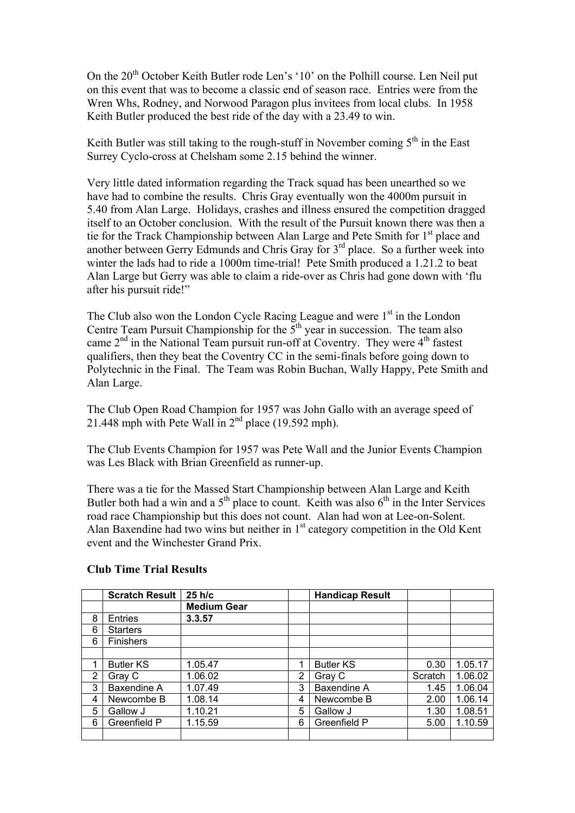On the 20<sup>th</sup> October Keith Butler rode Len's '10' on the Polhill course. Len Neil put on this event that was to become a classic end of season race. Entries were from the Wren Whs, Rodney, and Norwood Paragon plus invitees from local clubs. In 1958 Keith Butler produced the best ride of the day with a 23.49 to win.

Keith Butler was still taking to the rough-stuff in November coming  $5<sup>th</sup>$  in the East Surrey Cyclo-cross at Chelsham some 2.15 behind the winner.

Very little dated information regarding the Track squad has been unearthed so we have had to combine the results. Chris Gray eventually won the 4000m pursuit in 5.40 from Alan Large. Holidays, crashes and illness ensured the competition dragged itself to an October conclusion. With the result of the Pursuit known there was then a tie for the Track Championship between Alan Large and Pete Smith for 1<sup>st</sup> place and another between Gerry Edmunds and Chris Gray for 3<sup>rd</sup> place. So a further week into winter the lads had to ride a 1000m time-trial! Pete Smith produced a 1.21.2 to beat Alan Large but Gerry was able to claim a ride-over as Chris had gone down with 'flu after his pursuit ride!"

The Club also won the London Cycle Racing League and were  $1<sup>st</sup>$  in the London Centre Team Pursuit Championship for the  $5<sup>th</sup>$  year in succession. The team also came  $2<sup>nd</sup>$  in the National Team pursuit run-off at Coventry. They were  $4<sup>th</sup>$  fastest qualifiers, then they beat the Coventry CC in the semi-finals before going down to Polytechnic in the Final. The Team was Robin Buchan, Wally Happy, Pete Smith and Alan Large.

The Club Open Road Champion for 1957 was John Gallo with an average speed of 21.448 mph with Pete Wall in  $2<sup>nd</sup>$  place (19.592 mph).

The Club Events Champion for 1957 was Pete Wall and the Junior Events Champion was Les Black with Brian Greenfield as runner-up.

There was a tie for the Massed Start Championship between Alan Large and Keith Butler both had a win and a  $5<sup>th</sup>$  place to count. Keith was also  $6<sup>th</sup>$  in the Inter Services road race Championship but this does not count. Alan had won at Lee-on-Solent. Alan Baxendine had two wins but neither in  $1<sup>st</sup>$  category competition in the Old Kent event and the Winchester Grand Prix.

|   | <b>Scratch Result</b> | $25$ h/c           |   | <b>Handicap Result</b> |         |         |
|---|-----------------------|--------------------|---|------------------------|---------|---------|
|   |                       | <b>Medium Gear</b> |   |                        |         |         |
| 8 | <b>Entries</b>        | 3.3.57             |   |                        |         |         |
| 6 | <b>Starters</b>       |                    |   |                        |         |         |
| 6 | Finishers             |                    |   |                        |         |         |
|   |                       |                    |   |                        |         |         |
|   | <b>Butler KS</b>      | 1.05.47            | 1 | <b>Butler KS</b>       | 0.30    | 1.05.17 |
| 2 | Gray C                | 1.06.02            | 2 | Gray C                 | Scratch | 1.06.02 |
| 3 | Baxendine A           | 1.07.49            | 3 | Baxendine A            | 1.45    | 1.06.04 |
| 4 | Newcombe B            | 1.08.14            | 4 | Newcombe B             | 2.00    | 1.06.14 |
| 5 | Gallow J              | 1.10.21            | 5 | Gallow J               | 1.30    | 1.08.51 |
| 6 | Greenfield P          | 1.15.59            | 6 | Greenfield P           | 5.00    | 1.10.59 |
|   |                       |                    |   |                        |         |         |

## **Club Time Trial Results**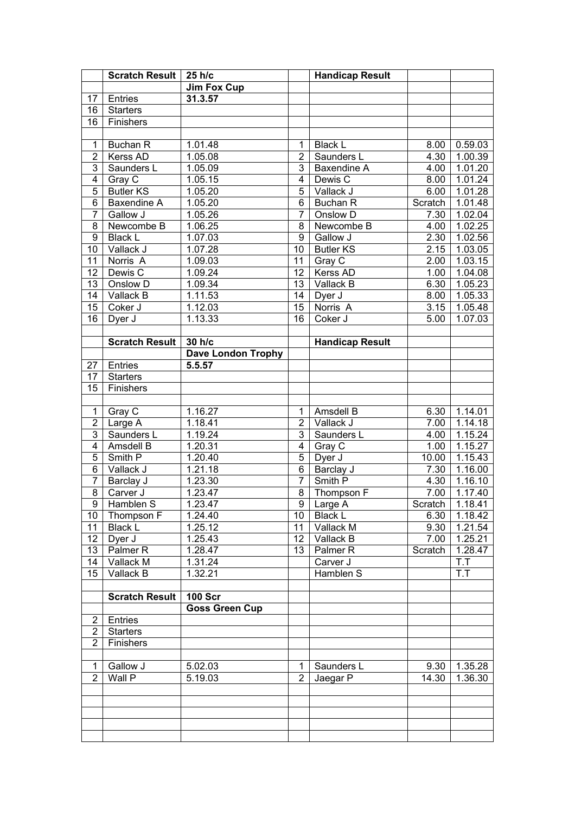|                 | <b>Scratch Result  </b> | 25 h/c                    |                 | <b>Handicap Result</b> |         |                 |
|-----------------|-------------------------|---------------------------|-----------------|------------------------|---------|-----------------|
|                 |                         | <b>Jim Fox Cup</b>        |                 |                        |         |                 |
| 17              | Entries                 | 31.3.57                   |                 |                        |         |                 |
| 16              | <b>Starters</b>         |                           |                 |                        |         |                 |
| 16              | Finishers               |                           |                 |                        |         |                 |
|                 |                         |                           |                 |                        |         |                 |
| $\mathbf 1$     | <b>Buchan R</b>         | 1.01.48                   | 1               | <b>Black L</b>         | 8.00    | 0.59.03         |
| $\overline{2}$  | Kerss AD                | 1.05.08                   | $\overline{2}$  | Saunders L             | 4.30    | 1.00.39         |
| 3               | Saunders L              | 1.05.09                   | $\overline{3}$  | <b>Baxendine A</b>     | 4.00    | 1.01.20         |
| $\overline{4}$  | Gray $\overline{C}$     | 1.05.15                   | $\overline{4}$  | Dewis C                | 8.00    | 1.01.24         |
| $\overline{5}$  | <b>Butler KS</b>        | 1.05.20                   | $\overline{5}$  | Vallack J              | 6.00    | 1.01.28         |
| $\overline{6}$  | Baxendine A             | 1.05.20                   | $\overline{6}$  | Buchan R               | Scratch | 1.01.48         |
| $\overline{7}$  | Gallow J                | 1.05.26                   | $\overline{7}$  | Onslow D               | 7.30    | 1.02.04         |
| 8               | Newcombe B              | 1.06.25                   | 8               | Newcombe B             | 4.00    | 1.02.25         |
| $\overline{9}$  | <b>Black L</b>          | 1.07.03                   | 9               | Gallow J               | 2.30    | 1.02.56         |
| 10              | Vallack J               | 1.07.28                   | $\overline{10}$ | <b>Butler KS</b>       | 2.15    | 1.03.05         |
| 11              | Norris A                | 1.09.03                   | $\overline{11}$ | Gray C                 | 2.00    | 1.03.15         |
| 12              | Dewis C                 | 1.09.24                   | $\overline{12}$ | Kerss AD               | 1.00    | 1.04.08         |
| 13              | Onslow D                | 1.09.34                   | $\overline{13}$ | Vallack B              | 6.30    | 1.05.23         |
| 14              | Vallack B               | 1.11.53                   | 14              | Dyer J                 | 8.00    | 1.05.33         |
| 15              | Coker J                 | 1.12.03                   | 15              | Norris A               | 3.15    | 1.05.48         |
| 16              | Dyer J                  | 1.13.33                   | 16              | Coker J                | 5.00    | 1.07.03         |
|                 |                         |                           |                 |                        |         |                 |
|                 | <b>Scratch Result</b>   | 30 h/c                    |                 | <b>Handicap Result</b> |         |                 |
|                 |                         | <b>Dave London Trophy</b> |                 |                        |         |                 |
| 27              | Entries                 | 5.5.57                    |                 |                        |         |                 |
| 17              | <b>Starters</b>         |                           |                 |                        |         |                 |
| 15              | Finishers               |                           |                 |                        |         |                 |
|                 |                         |                           |                 |                        |         |                 |
| $\mathbf 1$     | Gray C                  | 1.16.27                   | 1               | Amsdell B              | 6.30    | 1.14.01         |
| $\overline{2}$  | Large A                 | 1.18.41                   | $\overline{2}$  | Vallack J              | 7.00    | 1.14.18         |
| $\overline{3}$  | Saunders L              | 1.19.24                   | 3               | Saunders L             | 4.00    | 1.15.24         |
| $\overline{4}$  | Amsdell B               | 1.20.31                   | $\overline{4}$  | Gray C                 | 1.00    | 1.15.27         |
| $\overline{5}$  | Smith P                 | $\overline{1.20.40}$      | $\overline{5}$  | Dyer J                 | 10.00   | 1.15.43         |
| $\overline{6}$  | Vallack J               | 1.21.18                   | $\overline{6}$  | Barclay J              | 7.30    | 1.16.00         |
| $\overline{7}$  | Barclay J               | 1.23.30                   | $\overline{7}$  | Smith P                | 4.30    | 1.16.10         |
| 8               | Carver J                | 1.23.47                   | 8               | Thompson F             | 7.00    | 1.17.40         |
| $\overline{9}$  | Hamblen S               | 1.23.47                   |                 | 9 Large A              |         | Scratch 1.18.41 |
| 10 <sup>°</sup> | Thompson F              | 1.24.40                   | 10              | Black L                | 6.30    | 1.18.42         |
| 11              | <b>Black L</b>          | 1.25.12                   | 11              | Vallack M              | 9.30    | 1.21.54         |
| 12 <sub>2</sub> | Dyer J                  | 1.25.43                   | 12 <sub>2</sub> | Vallack B              | 7.00    | 1.25.21         |
| 13              | Palmer <sub>R</sub>     | 1.28.47                   | 13              | Palmer <sub>R</sub>    | Scratch | 1.28.47         |
| 14              | Vallack M               | 1.31.24                   |                 | Carver J               |         | T.T             |
| 15              | Vallack B               | 1.32.21                   |                 | Hamblen S              |         | T.T             |
|                 |                         |                           |                 |                        |         |                 |
|                 | <b>Scratch Result</b>   | <b>100 Scr</b>            |                 |                        |         |                 |
|                 |                         | <b>Goss Green Cup</b>     |                 |                        |         |                 |
| 2               | Entries                 |                           |                 |                        |         |                 |
| $\overline{2}$  | <b>Starters</b>         |                           |                 |                        |         |                 |
| $\overline{2}$  | Finishers               |                           |                 |                        |         |                 |
|                 |                         |                           |                 |                        |         |                 |
| 1               | Gallow J                | 5.02.03                   | 1               | Saunders L             | 9.30    | 1.35.28         |
| $\overline{2}$  | Wall P                  | 5.19.03                   | $\overline{2}$  | Jaegar P               | 14.30   | 1.36.30         |
|                 |                         |                           |                 |                        |         |                 |
|                 |                         |                           |                 |                        |         |                 |
|                 |                         |                           |                 |                        |         |                 |
|                 |                         |                           |                 |                        |         |                 |
|                 |                         |                           |                 |                        |         |                 |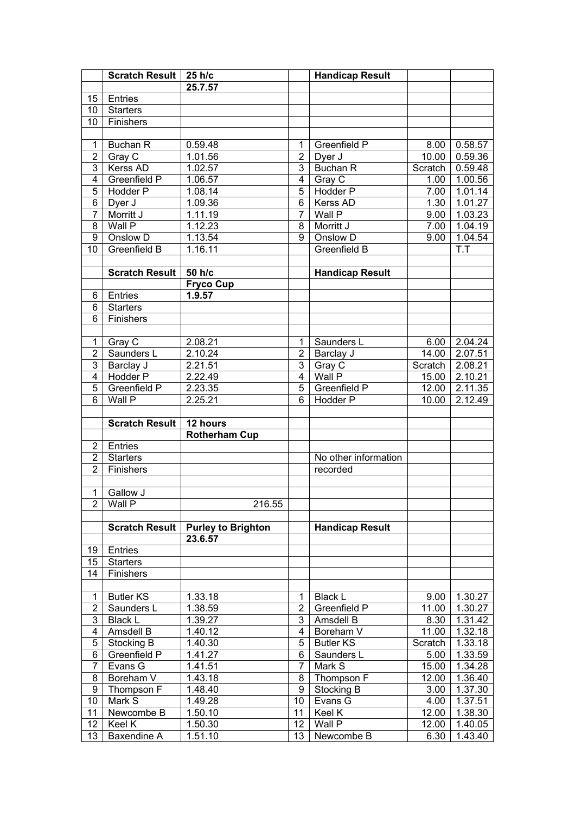|                | Scratch Result   25 h/c |                           |                 | <b>Handicap Result</b> |                    |                      |
|----------------|-------------------------|---------------------------|-----------------|------------------------|--------------------|----------------------|
|                |                         | 25.7.57                   |                 |                        |                    |                      |
| 15             | Entries                 |                           |                 |                        |                    |                      |
| 10             | <b>Starters</b>         |                           |                 |                        |                    |                      |
| 10             | Finishers               |                           |                 |                        |                    |                      |
|                |                         |                           |                 |                        |                    |                      |
| 1              | Buchan R                | 0.59.48                   | 1               | Greenfield P           | 8.00               | 0.58.57              |
| $\overline{2}$ | Gray C                  | 1.01.56                   | $\overline{2}$  | Dyer J                 | 10.00              | 0.59.36              |
| $\overline{3}$ | <b>Kerss AD</b>         | 1.02.57                   | 3               | <b>Buchan R</b>        | Scratch            | 0.59.48              |
| $\overline{4}$ | <b>Greenfield P</b>     | 1.06.57                   | $\overline{4}$  | Gray C                 | 1.00               | 1.00.56              |
| $\overline{5}$ | <b>Hodder P</b>         | 1.08.14                   | $\overline{5}$  | Hodder P               | 7.00               | 1.01.14              |
| $\overline{6}$ | Dyer $\overline{J}$     | 1.09.36                   | $\overline{6}$  | Kerss AD               | 1.30               | 1.01.27              |
| $\overline{7}$ | Morritt J               | 1.11.19                   | $\overline{7}$  | Wall P                 | 9.00               | 1.03.23              |
| $\overline{8}$ | Wall P                  | 1.12.23                   | 8               | Morritt J              | 7.00               | 1.04.19              |
| 9              | Onslow D                | 1.13.54                   | 9               | Onslow D               | 9.00               | 1.04.54              |
| 10             | Greenfield B            | 1.16.11                   |                 | Greenfield B           |                    | T.T                  |
|                |                         |                           |                 |                        |                    |                      |
|                | <b>Scratch Result</b>   | 50 h/c                    |                 | <b>Handicap Result</b> |                    |                      |
|                |                         | <b>Fryco Cup</b>          |                 |                        |                    |                      |
| 6              | Entries                 | 1.9.57                    |                 |                        |                    |                      |
| 6              | <b>Starters</b>         |                           |                 |                        |                    |                      |
| 6              | Finishers               |                           |                 |                        |                    |                      |
|                |                         |                           |                 |                        |                    |                      |
| $\mathbf{1}$   | Gray C                  | 2.08.21                   | 1               | Saunders L             | 6.00               | 2.04.24              |
| $\overline{2}$ | Saunders L              | 2.10.24                   | $\overline{2}$  | Barclay J              | $\overline{14.00}$ | 2.07.51              |
| $\overline{3}$ | Barclay J               | 2.21.51                   | $\overline{3}$  | Gray C                 | Scratch            | 2.08.21              |
| $\overline{4}$ | Hodder P                | 2.22.49                   | $\overline{4}$  | Wall P                 | 15.00              | 2.10.21              |
| $\overline{5}$ | Greenfield P            | 2.23.35                   | $\overline{5}$  | Greenfield P           | 12.00              | 2.11.35              |
| $\overline{6}$ | Wall P                  | 2.25.21                   | 6               | Hodder P               | 10.00              | 2.12.49              |
|                |                         |                           |                 |                        |                    |                      |
|                | <b>Scratch Result</b>   | 12 hours                  |                 |                        |                    |                      |
|                |                         | <b>Rotherham Cup</b>      |                 |                        |                    |                      |
| $\overline{2}$ | Entries                 |                           |                 |                        |                    |                      |
| $\overline{2}$ | <b>Starters</b>         |                           |                 | No other information   |                    |                      |
| $\overline{2}$ | Finishers               |                           |                 | recorded               |                    |                      |
|                |                         |                           |                 |                        |                    |                      |
| $\mathbf{1}$   | <b>Gallow J</b>         |                           |                 |                        |                    |                      |
| $\overline{2}$ | <b>Wall P</b>           | 216.55                    |                 |                        |                    |                      |
|                |                         |                           |                 |                        |                    |                      |
|                | <b>Scratch Result</b>   | <b>Purley to Brighton</b> |                 | <b>Handicap Result</b> |                    |                      |
|                |                         | 23.6.57                   |                 |                        |                    |                      |
| 19             | Entries                 |                           |                 |                        |                    |                      |
| 15             | <b>Starters</b>         |                           |                 |                        |                    |                      |
| 14             | Finishers               |                           |                 |                        |                    |                      |
|                |                         |                           |                 |                        |                    |                      |
| 1              | <b>Butler KS</b>        | 1.33.18                   | 1.              | <b>Black L</b>         | 9.00               | 1.30.27              |
| $\overline{2}$ | Saunders L              | 1.38.59                   | $\overline{2}$  | Greenfield P           | 11.00              | 1.30.27              |
| $\overline{3}$ | <b>Black L</b>          | 1.39.27                   | 3               | Amsdell B              | 8.30               | 1.31.42              |
| 4              | Amsdell B               | 1.40.12                   | 4               | Boreham V              | 11.00              | $\overline{1.32.18}$ |
| 5              | Stocking B              | 1.40.30                   | 5               | <b>Butler KS</b>       | Scratch            | 1.33.18              |
| 6              | Greenfield P            | 1.41.27                   | 6               | Saunders L             | 5.00               | 1.33.59              |
| $\overline{7}$ | Evans G                 | 1.41.51                   | 7               | Mark S                 | 15.00              | 1.34.28              |
| 8              | Boreham V               | 1.43.18                   | 8               | Thompson F             | 12.00              | 1.36.40              |
| 9              | Thompson F              | 1.48.40                   | 9               | Stocking B             | 3.00               | 1.37.30              |
| 10             | Mark $\overline{S}$     | 1.49.28                   | 10 <sup>1</sup> | Evans G                | 4.00               | 1.37.51              |
| 11             | Newcombe B              | 1.50.10                   | 11              | Keel $\overline{K}$    | 12.00              | 1.38.30              |
|                |                         | 1.50.30                   | 12              | Wall P                 | 12.00              | 1.40.05              |
| 12             | Keel K                  |                           |                 |                        |                    |                      |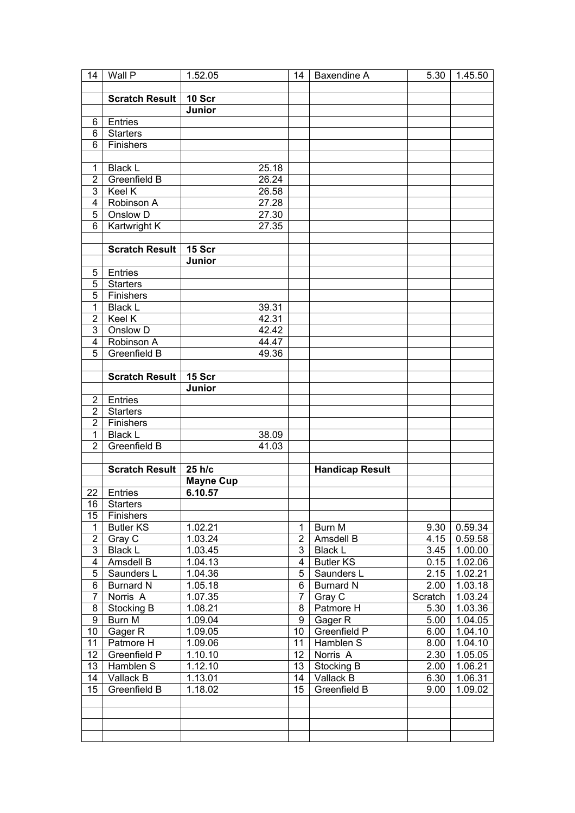| 14                      | Wall P                | 1.52.05            | 14             | Baxendine A            | 5.30    | 1.45.50              |
|-------------------------|-----------------------|--------------------|----------------|------------------------|---------|----------------------|
|                         |                       |                    |                |                        |         |                      |
|                         | <b>Scratch Result</b> | 10 Scr             |                |                        |         |                      |
|                         |                       | Junior             |                |                        |         |                      |
| 6                       | Entries               |                    |                |                        |         |                      |
| 6                       | <b>Starters</b>       |                    |                |                        |         |                      |
| 6                       | Finishers             |                    |                |                        |         |                      |
|                         |                       |                    |                |                        |         |                      |
|                         |                       |                    |                |                        |         |                      |
| $\mathbf 1$             | <b>Black L</b>        | 25.18              |                |                        |         |                      |
| $\overline{2}$          | Greenfield B          | 26.24              |                |                        |         |                      |
| 3                       | Keel K                | $26.\overline{58}$ |                |                        |         |                      |
| $\overline{4}$          | Robinson A            | 27.28              |                |                        |         |                      |
| 5                       | Onslow D              | 27.30              |                |                        |         |                      |
| $\overline{6}$          | Kartwright K          | 27.35              |                |                        |         |                      |
|                         |                       |                    |                |                        |         |                      |
|                         | <b>Scratch Result</b> | 15 Scr             |                |                        |         |                      |
|                         |                       | Junior             |                |                        |         |                      |
| 5                       | Entries               |                    |                |                        |         |                      |
| 5                       | <b>Starters</b>       |                    |                |                        |         |                      |
| $\overline{5}$          | Finishers             |                    |                |                        |         |                      |
| 1                       | <b>Black L</b>        | 39.31              |                |                        |         |                      |
| $\overline{2}$          | Keel K                | 42.31              |                |                        |         |                      |
| 3                       | Onslow D              | 42.42              |                |                        |         |                      |
|                         |                       |                    |                |                        |         |                      |
| $\overline{4}$          | Robinson A            | 44.47              |                |                        |         |                      |
| 5                       | Greenfield B          | 49.36              |                |                        |         |                      |
|                         |                       |                    |                |                        |         |                      |
|                         | <b>Scratch Result</b> | 15 Scr             |                |                        |         |                      |
|                         |                       | Junior             |                |                        |         |                      |
| $\overline{2}$          | Entries               |                    |                |                        |         |                      |
| $\overline{2}$          | <b>Starters</b>       |                    |                |                        |         |                      |
| $\overline{2}$          | Finishers             |                    |                |                        |         |                      |
| $\mathbf{1}$            | <b>Black L</b>        | 38.09              |                |                        |         |                      |
| $\overline{2}$          | Greenfield B          | 41.03              |                |                        |         |                      |
|                         |                       |                    |                |                        |         |                      |
|                         | <b>Scratch Result</b> | 25 h/c             |                | <b>Handicap Result</b> |         |                      |
|                         |                       | <b>Mayne Cup</b>   |                |                        |         |                      |
| 22                      | Entries               | 6.10.57            |                |                        |         |                      |
|                         | 16 Starters           |                    |                |                        |         |                      |
| 15                      | Finishers             |                    |                |                        |         |                      |
| $\mathbf 1$             | <b>Butler KS</b>      | 1.02.21            | 1              | Burn M                 | 9.30    | 0.59.34              |
| $\overline{2}$          | Gray C                | 1.03.24            | $\overline{c}$ | Amsdell B              | 4.15    | 0.59.58              |
| $\overline{3}$          | <b>Black L</b>        | 1.03.45            | 3              | <b>Black L</b>         | 3.45    | 1.00.00              |
| $\overline{\mathbf{4}}$ | Amsdell B             | 1.04.13            | $\overline{4}$ | <b>Butler KS</b>       | 0.15    | 1.02.06              |
| $\mathbf 5$             |                       | 1.04.36            |                |                        | 2.15    | $1.\overline{02.21}$ |
|                         | Saunders L            |                    | 5              | Saunders L             |         |                      |
| $\overline{6}$          | <b>Burnard N</b>      | 1.05.18            | 6              | <b>Burnard N</b>       | 2.00    | 1.03.18              |
| $\overline{7}$          | Norris A              | 1.07.35            | $\overline{7}$ | Gray C                 | Scratch | $1.\overline{03.24}$ |
| $\bf 8$                 | Stocking B            | 1.08.21            | 8              | Patmore H              | 5.30    | 1.03.36              |
| $\overline{9}$          | <b>Burn M</b>         | 1.09.04            | $\overline{9}$ | Gager R                | 5.00    | 1.04.05              |
| 10                      | Gager R               | 1.09.05            | 10             | Greenfield P           | 6.00    | 1.04.10              |
| 11                      | Patmore H             | 1.09.06            | 11             | Hamblen S              | 8.00    | 1.04.10              |
| 12                      | Greenfield P          | 1.10.10            | 12             | Norris A               | 2.30    | 1.05.05              |
| 13                      | Hamblen S             | 1.12.10            | 13             | Stocking B             | 2.00    | 1.06.21              |
| 14                      | Vallack B             | 1.13.01            | 14             | Vallack B              | 6.30    | 1.06.31              |
| 15                      | Greenfield B          | 1.18.02            | 15             | Greenfield B           | 9.00    | 1.09.02              |
|                         |                       |                    |                |                        |         |                      |
|                         |                       |                    |                |                        |         |                      |
|                         |                       |                    |                |                        |         |                      |
|                         |                       |                    |                |                        |         |                      |
|                         |                       |                    |                |                        |         |                      |